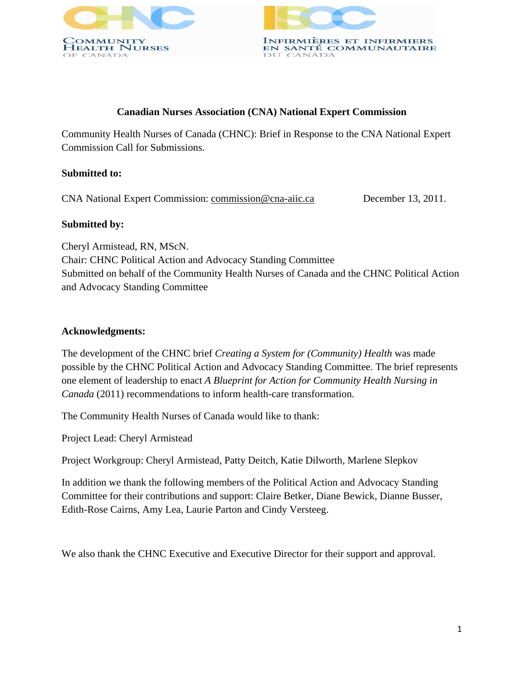



## **Canadian Nurses Association (CNA) National Expert Commission**

Community Health Nurses of Canada (CHNC): Brief in Response to the CNA National Expert Commission Call for Submissions.

### **Submitted to:**

CNA National Expert Commission: commission@cna-aiic.ca December 13, 2011.

## **Submitted by:**

Cheryl Armistead, RN, MScN. Chair: CHNC Political Action and Advocacy Standing Committee Submitted on behalf of the Community Health Nurses of Canada and the CHNC Political Action and Advocacy Standing Committee

# **Acknowledgments:**

The development of the CHNC brief *Creating a System for (Community) Health* was made possible by the CHNC Political Action and Advocacy Standing Committee. The brief represents one element of leadership to enact *A Blueprint for Action for Community Health Nursing in Canada* (2011) recommendations to inform health-care transformation.

The Community Health Nurses of Canada would like to thank:

Project Lead: Cheryl Armistead

Project Workgroup: Cheryl Armistead, Patty Deitch, Katie Dilworth, Marlene Slepkov

In addition we thank the following members of the Political Action and Advocacy Standing Committee for their contributions and support: Claire Betker, Diane Bewick, Dianne Busser, Edith-Rose Cairns, Amy Lea, Laurie Parton and Cindy Versteeg.

We also thank the CHNC Executive and Executive Director for their support and approval.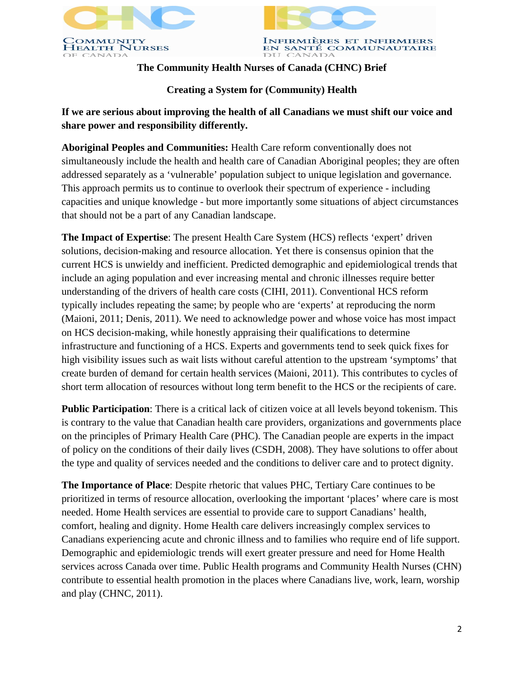



# **The Community Health Nurses of Canada (CHNC) Brief**

# **Creating a System for (Community) Health**

# **If we are serious about improving the health of all Canadians we must shift our voice and share power and responsibility differently.**

**Aboriginal Peoples and Communities:** Health Care reform conventionally does not simultaneously include the health and health care of Canadian Aboriginal peoples; they are often addressed separately as a 'vulnerable' population subject to unique legislation and governance. This approach permits us to continue to overlook their spectrum of experience - including capacities and unique knowledge - but more importantly some situations of abject circumstances that should not be a part of any Canadian landscape.

**The Impact of Expertise**: The present Health Care System (HCS) reflects 'expert' driven solutions, decision-making and resource allocation. Yet there is consensus opinion that the current HCS is unwieldy and inefficient. Predicted demographic and epidemiological trends that include an aging population and ever increasing mental and chronic illnesses require better understanding of the drivers of health care costs (CIHI, 2011). Conventional HCS reform typically includes repeating the same; by people who are 'experts' at reproducing the norm (Maioni, 2011; Denis, 2011). We need to acknowledge power and whose voice has most impact on HCS decision-making, while honestly appraising their qualifications to determine infrastructure and functioning of a HCS. Experts and governments tend to seek quick fixes for high visibility issues such as wait lists without careful attention to the upstream 'symptoms' that create burden of demand for certain health services (Maioni, 2011). This contributes to cycles of short term allocation of resources without long term benefit to the HCS or the recipients of care.

**Public Participation**: There is a critical lack of citizen voice at all levels beyond tokenism. This is contrary to the value that Canadian health care providers, organizations and governments place on the principles of Primary Health Care (PHC). The Canadian people are experts in the impact of policy on the conditions of their daily lives (CSDH, 2008). They have solutions to offer about the type and quality of services needed and the conditions to deliver care and to protect dignity.

**The Importance of Place**: Despite rhetoric that values PHC, Tertiary Care continues to be prioritized in terms of resource allocation, overlooking the important 'places' where care is most needed. Home Health services are essential to provide care to support Canadians' health, comfort, healing and dignity. Home Health care delivers increasingly complex services to Canadians experiencing acute and chronic illness and to families who require end of life support. Demographic and epidemiologic trends will exert greater pressure and need for Home Health services across Canada over time. Public Health programs and Community Health Nurses (CHN) contribute to essential health promotion in the places where Canadians live, work, learn, worship and play (CHNC, 2011).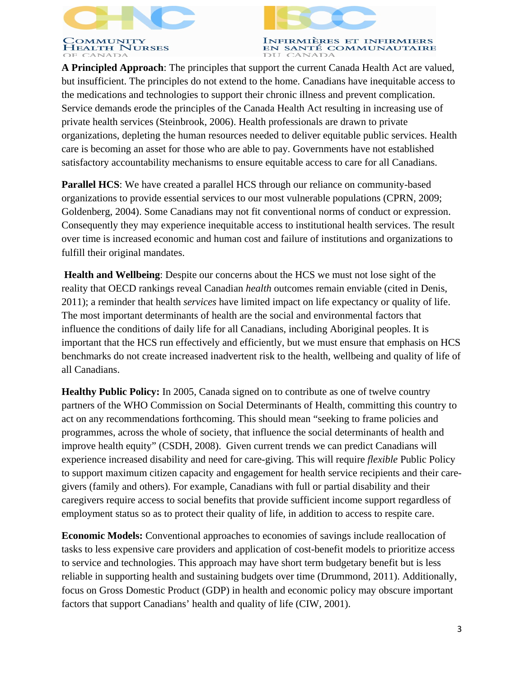



INFIRMIÈRES ET INFIRMIERS EN SANTÉ COMMUNAUTAIRE DU CANADA

**A Principled Approach**: The principles that support the current Canada Health Act are valued, but insufficient. The principles do not extend to the home. Canadians have inequitable access to the medications and technologies to support their chronic illness and prevent complication. Service demands erode the principles of the Canada Health Act resulting in increasing use of private health services (Steinbrook, 2006). Health professionals are drawn to private organizations, depleting the human resources needed to deliver equitable public services. Health care is becoming an asset for those who are able to pay. Governments have not established satisfactory accountability mechanisms to ensure equitable access to care for all Canadians.

**Parallel HCS**: We have created a parallel HCS through our reliance on community-based organizations to provide essential services to our most vulnerable populations (CPRN, 2009; Goldenberg, 2004). Some Canadians may not fit conventional norms of conduct or expression. Consequently they may experience inequitable access to institutional health services. The result over time is increased economic and human cost and failure of institutions and organizations to fulfill their original mandates.

**Health and Wellbeing**: Despite our concerns about the HCS we must not lose sight of the reality that OECD rankings reveal Canadian *health* outcomes remain enviable (cited in Denis, 2011); a reminder that health *services* have limited impact on life expectancy or quality of life. The most important determinants of health are the social and environmental factors that influence the conditions of daily life for all Canadians, including Aboriginal peoples. It is important that the HCS run effectively and efficiently, but we must ensure that emphasis on HCS benchmarks do not create increased inadvertent risk to the health, wellbeing and quality of life of all Canadians.

**Healthy Public Policy:** In 2005, Canada signed on to contribute as one of twelve country partners of the WHO Commission on Social Determinants of Health, committing this country to act on any recommendations forthcoming. This should mean "seeking to frame policies and programmes, across the whole of society, that influence the social determinants of health and improve health equity" (CSDH, 2008). Given current trends we can predict Canadians will experience increased disability and need for care-giving. This will require *flexible* Public Policy to support maximum citizen capacity and engagement for health service recipients and their caregivers (family and others). For example, Canadians with full or partial disability and their caregivers require access to social benefits that provide sufficient income support regardless of employment status so as to protect their quality of life, in addition to access to respite care.

**Economic Models:** Conventional approaches to economies of savings include reallocation of tasks to less expensive care providers and application of cost-benefit models to prioritize access to service and technologies. This approach may have short term budgetary benefit but is less reliable in supporting health and sustaining budgets over time (Drummond, 2011). Additionally, focus on Gross Domestic Product (GDP) in health and economic policy may obscure important factors that support Canadians' health and quality of life (CIW, 2001).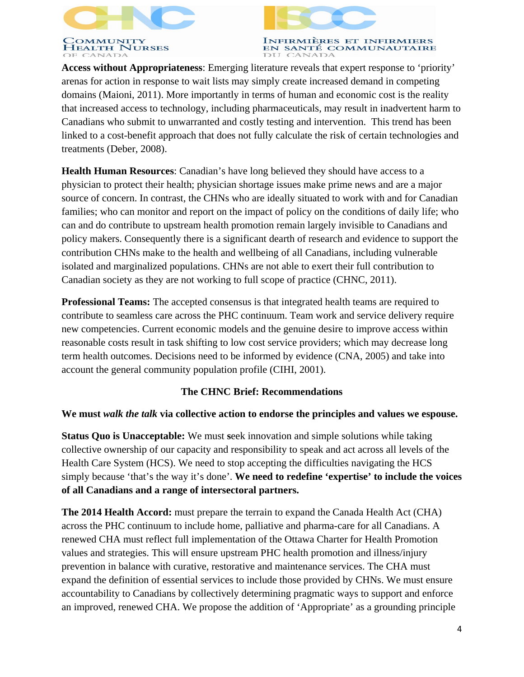



INFIRMIÈRES ET INFIRMIERS EN SANTÉ COMMUNAUTAIRE DU CANADA

**Access without Appropriateness**: Emerging literature reveals that expert response to 'priority' arenas for action in response to wait lists may simply create increased demand in competing domains (Maioni, 2011). More importantly in terms of human and economic cost is the reality that increased access to technology, including pharmaceuticals, may result in inadvertent harm to Canadians who submit to unwarranted and costly testing and intervention. This trend has been linked to a cost-benefit approach that does not fully calculate the risk of certain technologies and treatments (Deber, 2008).

**Health Human Resources**: Canadian's have long believed they should have access to a physician to protect their health; physician shortage issues make prime news and are a major source of concern. In contrast, the CHNs who are ideally situated to work with and for Canadian families; who can monitor and report on the impact of policy on the conditions of daily life; who can and do contribute to upstream health promotion remain largely invisible to Canadians and policy makers. Consequently there is a significant dearth of research and evidence to support the contribution CHNs make to the health and wellbeing of all Canadians, including vulnerable isolated and marginalized populations. CHNs are not able to exert their full contribution to Canadian society as they are not working to full scope of practice (CHNC, 2011).

**Professional Teams:** The accepted consensus is that integrated health teams are required to contribute to seamless care across the PHC continuum. Team work and service delivery require new competencies. Current economic models and the genuine desire to improve access within reasonable costs result in task shifting to low cost service providers; which may decrease long term health outcomes. Decisions need to be informed by evidence (CNA, 2005) and take into account the general community population profile (CIHI, 2001).

# **The CHNC Brief: Recommendations**

### **We must** *walk the talk* **via collective action to endorse the principles and values we espouse.**

**Status Quo is Unacceptable:** We must seek innovation and simple solutions while taking collective ownership of our capacity and responsibility to speak and act across all levels of the Health Care System (HCS). We need to stop accepting the difficulties navigating the HCS simply because 'that's the way it's done'. **We need to redefine 'expertise' to include the voices of all Canadians and a range of intersectoral partners.** 

**The 2014 Health Accord:** must prepare the terrain to expand the Canada Health Act (CHA) across the PHC continuum to include home, palliative and pharma-care for all Canadians. A renewed CHA must reflect full implementation of the Ottawa Charter for Health Promotion values and strategies. This will ensure upstream PHC health promotion and illness/injury prevention in balance with curative, restorative and maintenance services. The CHA must expand the definition of essential services to include those provided by CHNs. We must ensure accountability to Canadians by collectively determining pragmatic ways to support and enforce an improved, renewed CHA. We propose the addition of 'Appropriate' as a grounding principle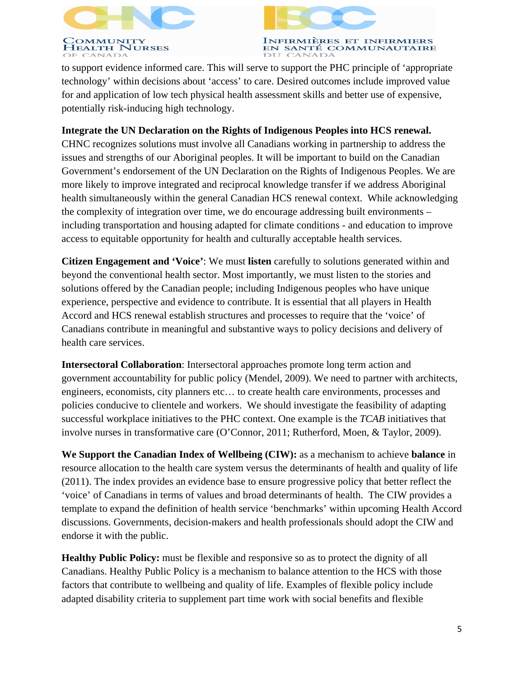



INFIRMIÈRES ET INFIRMIERS<br>EN SANTÉ COMMUNAUTAIRE DU CANADA

to support evidence informed care. This will serve to support the PHC principle of 'appropriate technology' within decisions about 'access' to care. Desired outcomes include improved value for and application of low tech physical health assessment skills and better use of expensive, potentially risk-inducing high technology.

## **Integrate the UN Declaration on the Rights of Indigenous Peoples into HCS renewal.**

CHNC recognizes solutions must involve all Canadians working in partnership to address the issues and strengths of our Aboriginal peoples. It will be important to build on the Canadian Government's endorsement of the UN Declaration on the Rights of Indigenous Peoples. We are more likely to improve integrated and reciprocal knowledge transfer if we address Aboriginal health simultaneously within the general Canadian HCS renewal context. While acknowledging the complexity of integration over time, we do encourage addressing built environments – including transportation and housing adapted for climate conditions - and education to improve access to equitable opportunity for health and culturally acceptable health services.

**Citizen Engagement and 'Voice'**: We must **listen** carefully to solutions generated within and beyond the conventional health sector. Most importantly, we must listen to the stories and solutions offered by the Canadian people; including Indigenous peoples who have unique experience, perspective and evidence to contribute. It is essential that all players in Health Accord and HCS renewal establish structures and processes to require that the 'voice' of Canadians contribute in meaningful and substantive ways to policy decisions and delivery of health care services.

**Intersectoral Collaboration**: Intersectoral approaches promote long term action and government accountability for public policy (Mendel, 2009). We need to partner with architects, engineers, economists, city planners etc… to create health care environments, processes and policies conducive to clientele and workers. We should investigate the feasibility of adapting successful workplace initiatives to the PHC context. One example is the *TCAB* initiatives that involve nurses in transformative care (O'Connor, 2011; Rutherford, Moen, & Taylor, 2009).

**We Support the Canadian Index of Wellbeing (CIW):** as a mechanism to achieve **balance** in resource allocation to the health care system versus the determinants of health and quality of life (2011). The index provides an evidence base to ensure progressive policy that better reflect the 'voice' of Canadians in terms of values and broad determinants of health. The CIW provides a template to expand the definition of health service 'benchmarks' within upcoming Health Accord discussions. Governments, decision-makers and health professionals should adopt the CIW and endorse it with the public.

**Healthy Public Policy:** must be flexible and responsive so as to protect the dignity of all Canadians. Healthy Public Policy is a mechanism to balance attention to the HCS with those factors that contribute to wellbeing and quality of life. Examples of flexible policy include adapted disability criteria to supplement part time work with social benefits and flexible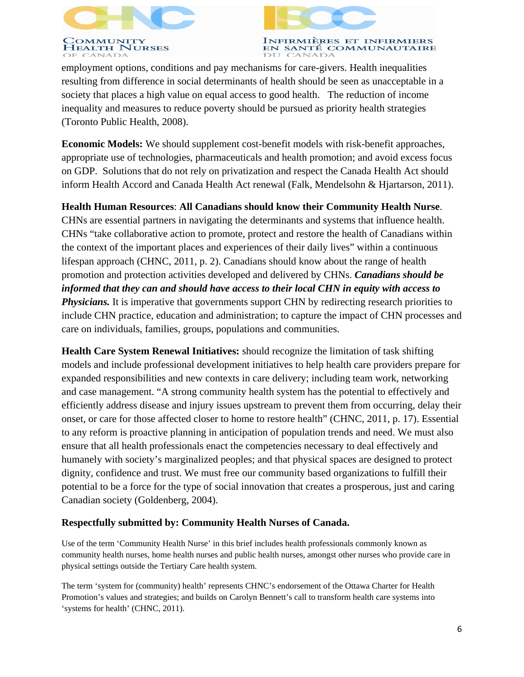



**INFIRMIÈRES ET INFIRMIERS** EN SANTÉ COMMUNAUTAIRE DU CANADA

employment options, conditions and pay mechanisms for care-givers. Health inequalities resulting from difference in social determinants of health should be seen as unacceptable in a society that places a high value on equal access to good health. The reduction of income inequality and measures to reduce poverty should be pursued as priority health strategies (Toronto Public Health, 2008).

**Economic Models:** We should supplement cost-benefit models with risk-benefit approaches, appropriate use of technologies, pharmaceuticals and health promotion; and avoid excess focus on GDP. Solutions that do not rely on privatization and respect the Canada Health Act should inform Health Accord and Canada Health Act renewal (Falk, Mendelsohn & Hjartarson, 2011).

**Health Human Resources**: **All Canadians should know their Community Health Nurse**. CHNs are essential partners in navigating the determinants and systems that influence health. CHNs "take collaborative action to promote, protect and restore the health of Canadians within the context of the important places and experiences of their daily lives" within a continuous lifespan approach (CHNC, 2011, p. 2). Canadians should know about the range of health promotion and protection activities developed and delivered by CHNs. *Canadians should be informed that they can and should have access to their local CHN in equity with access to Physicians.* It is imperative that governments support CHN by redirecting research priorities to include CHN practice, education and administration; to capture the impact of CHN processes and care on individuals, families, groups, populations and communities.

**Health Care System Renewal Initiatives:** should recognize the limitation of task shifting models and include professional development initiatives to help health care providers prepare for expanded responsibilities and new contexts in care delivery; including team work, networking and case management. "A strong community health system has the potential to effectively and efficiently address disease and injury issues upstream to prevent them from occurring, delay their onset, or care for those affected closer to home to restore health" (CHNC, 2011, p. 17). Essential to any reform is proactive planning in anticipation of population trends and need. We must also ensure that all health professionals enact the competencies necessary to deal effectively and humanely with society's marginalized peoples; and that physical spaces are designed to protect dignity, confidence and trust. We must free our community based organizations to fulfill their potential to be a force for the type of social innovation that creates a prosperous, just and caring Canadian society (Goldenberg, 2004).

### **Respectfully submitted by: Community Health Nurses of Canada.**

Use of the term 'Community Health Nurse' in this brief includes health professionals commonly known as community health nurses, home health nurses and public health nurses, amongst other nurses who provide care in physical settings outside the Tertiary Care health system.

The term 'system for (community) health' represents CHNC's endorsement of the Ottawa Charter for Health Promotion's values and strategies; and builds on Carolyn Bennett's call to transform health care systems into 'systems for health' (CHNC, 2011).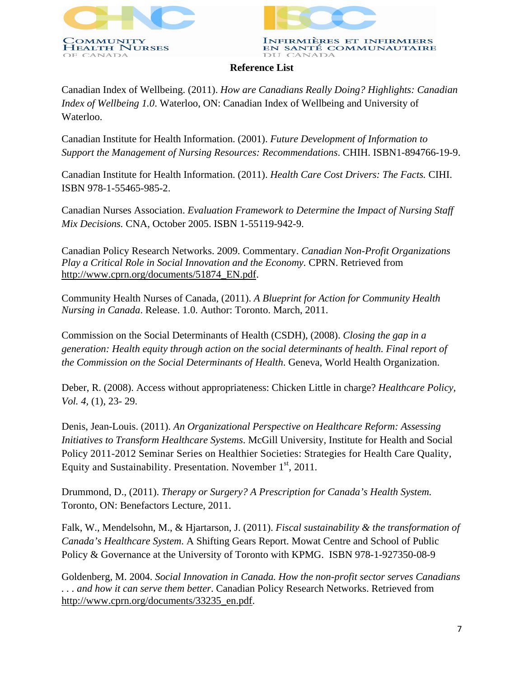



#### **Reference List**

Canadian Index of Wellbeing. (2011). *How are Canadians Really Doing? Highlights: Canadian Index of Wellbeing 1.0*. Waterloo, ON: Canadian Index of Wellbeing and University of Waterloo.

Canadian Institute for Health Information. (2001). *Future Development of Information to Support the Management of Nursing Resources: Recommendations*. CHIH. ISBN1-894766-19-9.

Canadian Institute for Health Information. (2011). *Health Care Cost Drivers: The Facts.* CIHI. ISBN 978-1-55465-985-2.

Canadian Nurses Association. *Evaluation Framework to Determine the Impact of Nursing Staff Mix Decisions.* CNA, October 2005. ISBN 1-55119-942-9.

Canadian Policy Research Networks. 2009. Commentary. *Canadian Non-Profit Organizations Play a Critical Role in Social Innovation and the Economy.* CPRN. Retrieved from http://www.cprn.org/documents/51874\_EN.pdf.

Community Health Nurses of Canada, (2011). *A Blueprint for Action for Community Health Nursing in Canada*. Release. 1.0. Author: Toronto. March, 2011.

Commission on the Social Determinants of Health (CSDH), (2008). *Closing the gap in a generation: Health equity through action on the social determinants of health. Final report of the Commission on the Social Determinants of Health*. Geneva, World Health Organization.

Deber, R. (2008). Access without appropriateness: Chicken Little in charge? *Healthcare Policy, Vol. 4,* (1), 23- 29.

Denis, Jean-Louis. (2011). *An Organizational Perspective on Healthcare Reform: Assessing Initiatives to Transform Healthcare Systems*. McGill University, Institute for Health and Social Policy 2011-2012 Seminar Series on Healthier Societies: Strategies for Health Care Quality, Equity and Sustainability. Presentation. November 1<sup>st</sup>, 2011.

Drummond, D., (2011). *Therapy or Surgery? A Prescription for Canada's Health System.* Toronto, ON: Benefactors Lecture, 2011.

Falk, W., Mendelsohn, M., & Hjartarson, J. (2011). *Fiscal sustainability & the transformation of Canada's Healthcare System*. A Shifting Gears Report. Mowat Centre and School of Public Policy & Governance at the University of Toronto with KPMG. ISBN 978-1-927350-08-9

Goldenberg, M. 2004. *Social Innovation in Canada. How the non-profit sector serves Canadians . . . and how it can serve them better*. Canadian Policy Research Networks. Retrieved from http://www.cprn.org/documents/33235\_en.pdf.